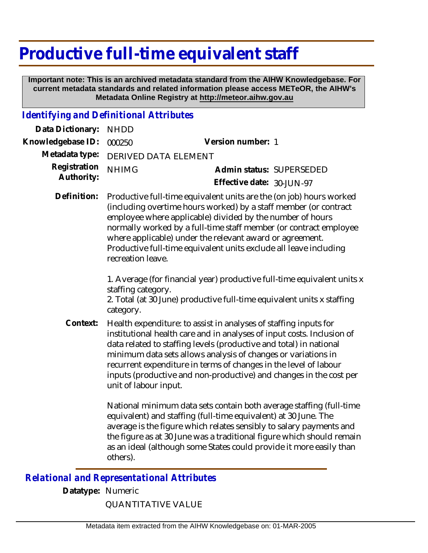## **Productive full-time equivalent staff**

 **Important note: This is an archived metadata standard from the AIHW Knowledgebase. For current metadata standards and related information please access METeOR, the AIHW's Metadata Online Registry at http://meteor.aihw.gov.au**

## *Identifying and Definitional Attributes*

| Data Dictionary:           | <b>NHDD</b>                                                                                                                                                                                                                                                                                                                                                                                                                                          |                                                                                                                                                                                                                                                                                                                                                               |
|----------------------------|------------------------------------------------------------------------------------------------------------------------------------------------------------------------------------------------------------------------------------------------------------------------------------------------------------------------------------------------------------------------------------------------------------------------------------------------------|---------------------------------------------------------------------------------------------------------------------------------------------------------------------------------------------------------------------------------------------------------------------------------------------------------------------------------------------------------------|
| Knowledgebase ID:          | 000250                                                                                                                                                                                                                                                                                                                                                                                                                                               | Version number: 1                                                                                                                                                                                                                                                                                                                                             |
| Metadata type:             | DERIVED DATA ELEMENT                                                                                                                                                                                                                                                                                                                                                                                                                                 |                                                                                                                                                                                                                                                                                                                                                               |
| Registration<br>Authority: | <b>NHIMG</b>                                                                                                                                                                                                                                                                                                                                                                                                                                         | Admin status: SUPERSEDED<br>Effective date: 30-JUN-97                                                                                                                                                                                                                                                                                                         |
| Definition:                | Productive full-time equivalent units are the (on job) hours worked<br>(including overtime hours worked) by a staff member (or contract<br>employee where applicable) divided by the number of hours<br>normally worked by a full-time staff member (or contract employee<br>where applicable) under the relevant award or agreement.<br>Productive full-time equivalent units exclude all leave including<br>recreation leave.                      |                                                                                                                                                                                                                                                                                                                                                               |
|                            | staffing category.<br>category.                                                                                                                                                                                                                                                                                                                                                                                                                      | 1. Average (for financial year) productive full-time equivalent units x<br>2. Total (at 30 June) productive full-time equivalent units x staffing                                                                                                                                                                                                             |
| Context:                   | Health expenditure: to assist in analyses of staffing inputs for<br>institutional health care and in analyses of input costs. Inclusion of<br>data related to staffing levels (productive and total) in national<br>minimum data sets allows analysis of changes or variations in<br>recurrent expenditure in terms of changes in the level of labour<br>inputs (productive and non-productive) and changes in the cost per<br>unit of labour input. |                                                                                                                                                                                                                                                                                                                                                               |
|                            | others).                                                                                                                                                                                                                                                                                                                                                                                                                                             | National minimum data sets contain both average staffing (full-time<br>equivalent) and staffing (full-time equivalent) at 30 June. The<br>average is the figure which relates sensibly to salary payments and<br>the figure as at 30 June was a traditional figure which should remain<br>as an ideal (although some States could provide it more easily than |

*Relational and Representational Attributes*

**Datatype:** Numeric

QUANTITATIVE VALUE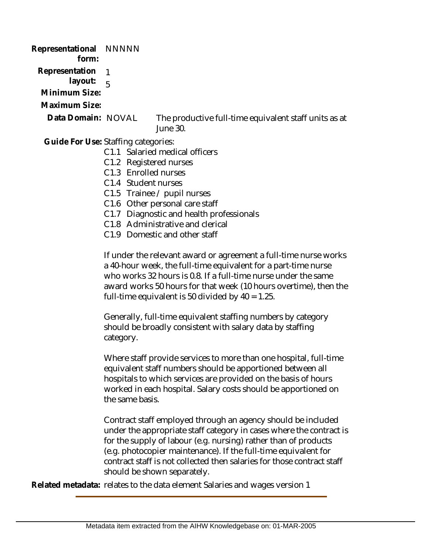**Representational** NNNNN  **form: Representation**  1  **layout: Minimum Size:** 5 **Maximum Size:** The productive full-time equivalent staff units as at June 30. Guide For Use: Staffing categories: C1.1 Salaried medical officers C1.2 Registered nurses C1.3 Enrolled nurses **Data Domain:**

- C1.4 Student nurses
- C1.5 Trainee / pupil nurses
- C1.6 Other personal care staff
- C1.7 Diagnostic and health professionals
- C1.8 Administrative and clerical
- C1.9 Domestic and other staff

If under the relevant award or agreement a full-time nurse works a 40-hour week, the full-time equivalent for a part-time nurse who works 32 hours is 0.8. If a full-time nurse under the same award works 50 hours for that week (10 hours overtime), then the full-time equivalent is 50 divided by  $40 = 1.25$ .

Generally, full-time equivalent staffing numbers by category should be broadly consistent with salary data by staffing category.

Where staff provide services to more than one hospital, full-time equivalent staff numbers should be apportioned between all hospitals to which services are provided on the basis of hours worked in each hospital. Salary costs should be apportioned on the same basis.

Contract staff employed through an agency should be included under the appropriate staff category in cases where the contract is for the supply of labour (e.g. nursing) rather than of products (e.g. photocopier maintenance). If the full-time equivalent for contract staff is not collected then salaries for those contract staff should be shown separately.

**Related metadata:** relates to the data element Salaries and wages version 1